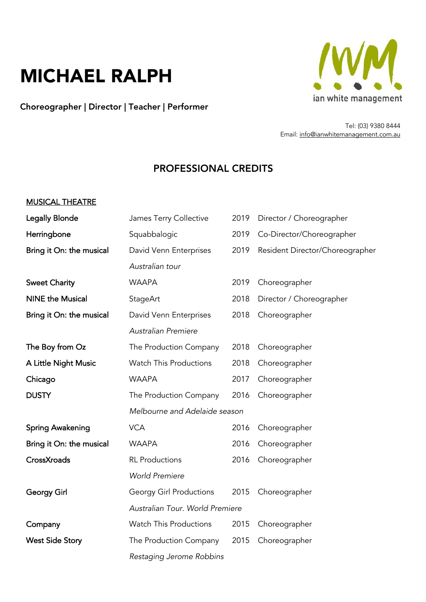# MICHAEL RALPH

Choreographer | Director | Teacher | Performer



Tel: (03) 9380 8444 Email: info@ianwhitemanagement.com.au

## PROFESSIONAL CREDITS

#### MUSICAL THEATRE

| <b>Legally Blonde</b>    | James Terry Collective          | 2019 | Director / Choreographer        |
|--------------------------|---------------------------------|------|---------------------------------|
| Herringbone              | Squabbalogic                    | 2019 | Co-Director/Choreographer       |
| Bring it On: the musical | David Venn Enterprises          | 2019 | Resident Director/Choreographer |
|                          | Australian tour                 |      |                                 |
| <b>Sweet Charity</b>     | <b>WAAPA</b>                    | 2019 | Choreographer                   |
| <b>NINE the Musical</b>  | StageArt                        | 2018 | Director / Choreographer        |
| Bring it On: the musical | David Venn Enterprises          | 2018 | Choreographer                   |
|                          | <b>Australian Premiere</b>      |      |                                 |
| The Boy from Oz          | The Production Company          | 2018 | Choreographer                   |
| A Little Night Music     | <b>Watch This Productions</b>   | 2018 | Choreographer                   |
| Chicago                  | <b>WAAPA</b>                    | 2017 | Choreographer                   |
| <b>DUSTY</b>             | The Production Company          | 2016 | Choreographer                   |
|                          | Melbourne and Adelaide season   |      |                                 |
| <b>Spring Awakening</b>  | <b>VCA</b>                      | 2016 | Choreographer                   |
| Bring it On: the musical | <b>WAAPA</b>                    | 2016 | Choreographer                   |
| CrossXroads              | <b>RL</b> Productions           | 2016 | Choreographer                   |
|                          | <b>World Premiere</b>           |      |                                 |
| Georgy Girl              | <b>Georgy Girl Productions</b>  | 2015 | Choreographer                   |
|                          | Australian Tour. World Premiere |      |                                 |
| Company                  | Watch This Productions          | 2015 | Choreographer                   |
| <b>West Side Story</b>   | The Production Company          | 2015 | Choreographer                   |
|                          | Restaging Jerome Robbins        |      |                                 |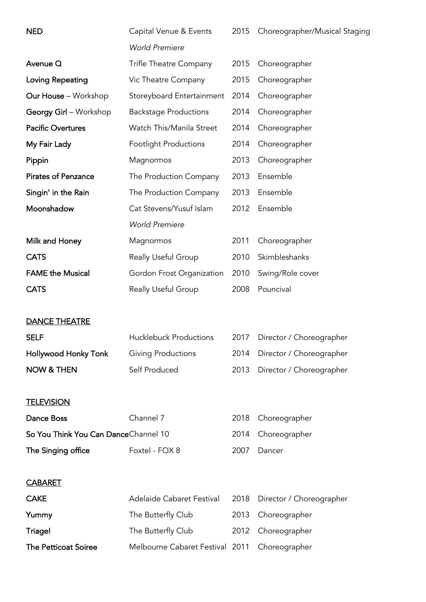| <b>NED</b>                           | Capital Venue & Events          | 2015 | Choreographer/Musical Staging |
|--------------------------------------|---------------------------------|------|-------------------------------|
|                                      | <b>World Premiere</b>           |      |                               |
| Avenue Q                             | Trifle Theatre Company          | 2015 | Choreographer                 |
| Loving Repeating                     | Vic Theatre Company             | 2015 | Choreographer                 |
| <b>Our House</b> - Workshop          | Storeyboard Entertainment       | 2014 | Choreographer                 |
| Georgy Girl - Workshop               | <b>Backstage Productions</b>    | 2014 | Choreographer                 |
| <b>Pacific Overtures</b>             | Watch This/Manila Street        | 2014 | Choreographer                 |
| My Fair Lady                         | <b>Footlight Productions</b>    | 2014 | Choreographer                 |
| Pippin                               | Magnormos                       | 2013 | Choreographer                 |
| <b>Pirates of Penzance</b>           | The Production Company          | 2013 | Ensemble                      |
| Singin' in the Rain                  | The Production Company          | 2013 | Ensemble                      |
| Moonshadow                           | Cat Stevens/Yusuf Islam         | 2012 | Ensemble                      |
|                                      | <b>World Premiere</b>           |      |                               |
| Milk and Honey                       | Magnormos                       | 2011 | Choreographer                 |
| <b>CATS</b>                          | Really Useful Group             | 2010 | Skimbleshanks                 |
| <b>FAME the Musical</b>              | Gordon Frost Organization       | 2010 | Swing/Role cover              |
| <b>CATS</b>                          | Really Useful Group             | 2008 | Pouncival                     |
|                                      |                                 |      |                               |
| <b>DANCE THEATRE</b>                 |                                 |      |                               |
| <b>SELF</b>                          | <b>Hucklebuck Productions</b>   | 2017 | Director / Choreographer      |
| <b>Hollywood Honky Tonk</b>          | Giving Productions              | 2014 | Director / Choreographer      |
| <b>NOW &amp; THEN</b>                | Self Produced                   | 2013 | Director / Choreographer      |
|                                      |                                 |      |                               |
| <b>TELEVISION</b>                    |                                 |      |                               |
| Dance Boss                           | Channel 7                       | 2018 | Choreographer                 |
| So You Think You Can DanceChannel 10 |                                 | 2014 | Choreographer                 |
| The Singing office                   | Foxtel - FOX 8                  | 2007 | Dancer                        |
|                                      |                                 |      |                               |
| <b>CABARET</b>                       |                                 |      |                               |
| <b>CAKE</b>                          | Adelaide Cabaret Festival       | 2018 | Director / Choreographer      |
| Yummy                                | The Butterfly Club              | 2013 | Choreographer                 |
| Triage!                              | The Butterfly Club              | 2012 | Choreographer                 |
| <b>The Petticoat Soiree</b>          | Melbourne Cabaret Festival 2011 |      | Choreographer                 |
|                                      |                                 |      |                               |